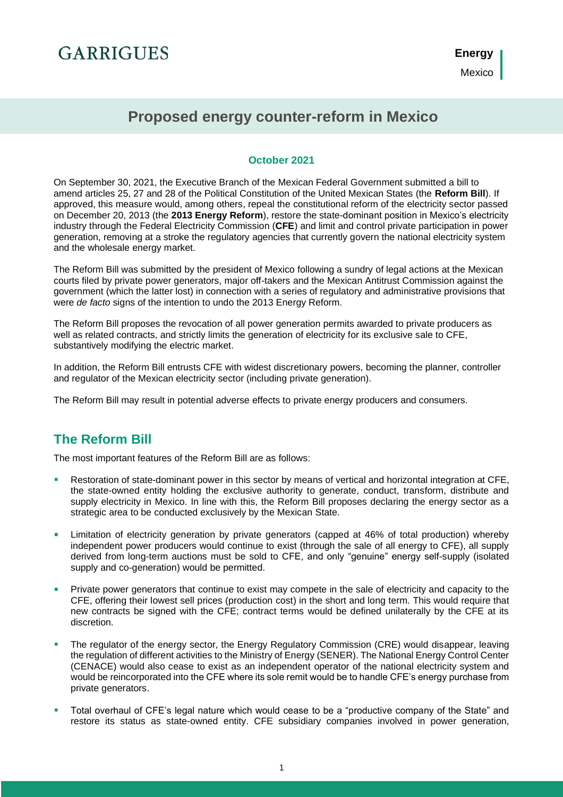# **GARRIGUES**

**Energy** Mexico

### **Proposed energy counter-reform in Mexico**

#### **October 2021**

On September 30, 2021, the Executive Branch of the Mexican Federal Government submitted a bill to amend articles 25, 27 and 28 of the Political Constitution of the United Mexican States (the **Reform Bill**). If approved, this measure would, among others, repeal the constitutional reform of the electricity sector passed on December 20, 2013 (the **2013 Energy Reform**), restore the state-dominant position in Mexico's electricity industry through the Federal Electricity Commission (**CFE**) and limit and control private participation in power generation, removing at a stroke the regulatory agencies that currently govern the national electricity system and the wholesale energy market.

The Reform Bill was submitted by the president of Mexico following a sundry of legal actions at the Mexican courts filed by private power generators, major off-takers and the Mexican Antitrust Commission against the government (which the latter lost) in connection with a series of regulatory and administrative provisions that were *de facto* signs of the intention to undo the 2013 Energy Reform.

The Reform Bill proposes the revocation of all power generation permits awarded to private producers as well as related contracts, and strictly limits the generation of electricity for its exclusive sale to CFE, substantively modifying the electric market.

In addition, the Reform Bill entrusts CFE with widest discretionary powers, becoming the planner, controller and regulator of the Mexican electricity sector (including private generation).

The Reform Bill may result in potential adverse effects to private energy producers and consumers.

### **The Reform Bill**

The most important features of the Reform Bill are as follows:

- i. Restoration of state-dominant power in this sector by means of vertical and horizontal integration at CFE, the state-owned entity holding the exclusive authority to generate, conduct, transform, distribute and supply electricity in Mexico. In line with this, the Reform Bill proposes declaring the energy sector as a strategic area to be conducted exclusively by the Mexican State.
- Limitation of electricity generation by private generators (capped at 46% of total production) whereby independent power producers would continue to exist (through the sale of all energy to CFE), all supply derived from long-term auctions must be sold to CFE, and only "genuine" energy self-supply (isolated supply and co-generation) would be permitted.
- Private power generators that continue to exist may compete in the sale of electricity and capacity to the CFE, offering their lowest sell prices (production cost) in the short and long term. This would require that new contracts be signed with the CFE; contract terms would be defined unilaterally by the CFE at its discretion.
- The regulator of the energy sector, the Energy Regulatory Commission (CRE) would disappear, leaving the regulation of different activities to the Ministry of Energy (SENER). The National Energy Control Center (CENACE) would also cease to exist as an independent operator of the national electricity system and would be reincorporated into the CFE where its sole remit would be to handle CFE's energy purchase from private generators.
- Total overhaul of CFE's legal nature which would cease to be a "productive company of the State" and restore its status as state-owned entity. CFE subsidiary companies involved in power generation,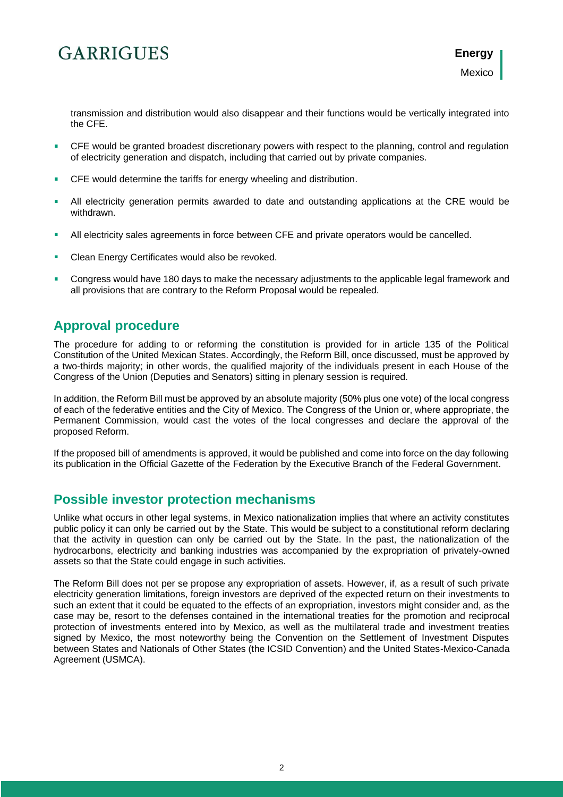# **GARRIGUES**

transmission and distribution would also disappear and their functions would be vertically integrated into the CFE.

- CFE would be granted broadest discretionary powers with respect to the planning, control and regulation of electricity generation and dispatch, including that carried out by private companies.
- CFE would determine the tariffs for energy wheeling and distribution.
- All electricity generation permits awarded to date and outstanding applications at the CRE would be withdrawn.
- i. All electricity sales agreements in force between CFE and private operators would be cancelled.
- Clean Energy Certificates would also be revoked.
- Congress would have 180 days to make the necessary adjustments to the applicable legal framework and all provisions that are contrary to the Reform Proposal would be repealed.

### **Approval procedure**

The procedure for adding to or reforming the constitution is provided for in article 135 of the Political Constitution of the United Mexican States. Accordingly, the Reform Bill, once discussed, must be approved by a two-thirds majority; in other words, the qualified majority of the individuals present in each House of the Congress of the Union (Deputies and Senators) sitting in plenary session is required.

In addition, the Reform Bill must be approved by an absolute majority (50% plus one vote) of the local congress of each of the federative entities and the City of Mexico. The Congress of the Union or, where appropriate, the Permanent Commission, would cast the votes of the local congresses and declare the approval of the proposed Reform.

If the proposed bill of amendments is approved, it would be published and come into force on the day following its publication in the Official Gazette of the Federation by the Executive Branch of the Federal Government.

#### **Possible investor protection mechanisms**

Unlike what occurs in other legal systems, in Mexico nationalization implies that where an activity constitutes public policy it can only be carried out by the State. This would be subject to a constitutional reform declaring that the activity in question can only be carried out by the State. In the past, the nationalization of the hydrocarbons, electricity and banking industries was accompanied by the expropriation of privately-owned assets so that the State could engage in such activities.

The Reform Bill does not per se propose any expropriation of assets. However, if, as a result of such private electricity generation limitations, foreign investors are deprived of the expected return on their investments to such an extent that it could be equated to the effects of an expropriation, investors might consider and, as the case may be, resort to the defenses contained in the international treaties for the promotion and reciprocal protection of investments entered into by Mexico, as well as the multilateral trade and investment treaties signed by Mexico, the most noteworthy being the Convention on the Settlement of Investment Disputes between States and Nationals of Other States (the ICSID Convention) and the United States-Mexico-Canada Agreement (USMCA).